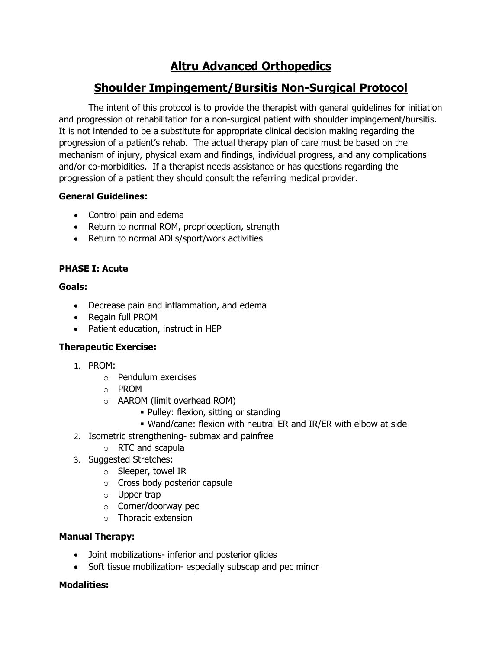# **Altru Advanced Orthopedics**

## **Shoulder Impingement/Bursitis Non-Surgical Protocol**

The intent of this protocol is to provide the therapist with general guidelines for initiation and progression of rehabilitation for a non-surgical patient with shoulder impingement/bursitis. It is not intended to be a substitute for appropriate clinical decision making regarding the progression of a patient's rehab. The actual therapy plan of care must be based on the mechanism of injury, physical exam and findings, individual progress, and any complications and/or co-morbidities. If a therapist needs assistance or has questions regarding the progression of a patient they should consult the referring medical provider.

## **General Guidelines:**

- Control pain and edema
- Return to normal ROM, proprioception, strength
- Return to normal ADLs/sport/work activities

## **PHASE I: Acute**

## **Goals:**

- Decrease pain and inflammation, and edema
- Regain full PROM
- Patient education, instruct in HEP

## **Therapeutic Exercise:**

- 1. PROM:
	- o Pendulum exercises
	- o PROM
	- o AAROM (limit overhead ROM)
		- Pulley: flexion, sitting or standing
		- Wand/cane: flexion with neutral ER and IR/ER with elbow at side
- 2. Isometric strengthening- submax and painfree
	- o RTC and scapula
- 3. Suggested Stretches:
	- o Sleeper, towel IR
	- o Cross body posterior capsule
	- o Upper trap
	- o Corner/doorway pec
	- o Thoracic extension

## **Manual Therapy:**

- Joint mobilizations- inferior and posterior glides
- Soft tissue mobilization- especially subscap and pec minor

## **Modalities:**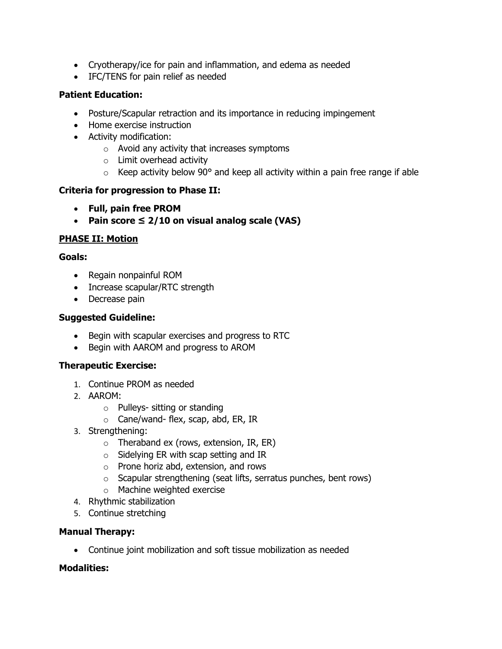- Cryotherapy/ice for pain and inflammation, and edema as needed
- IFC/TENS for pain relief as needed

## **Patient Education:**

- Posture/Scapular retraction and its importance in reducing impingement
- Home exercise instruction
- Activity modification:
	- o Avoid any activity that increases symptoms
	- o Limit overhead activity
	- $\circ$  Keep activity below 90 $\circ$  and keep all activity within a pain free range if able

## **Criteria for progression to Phase II:**

- **Full, pain free PROM**
- **Pain score ≤ 2/10 on visual analog scale (VAS)**

## **PHASE II: Motion**

## **Goals:**

- Regain nonpainful ROM
- Increase scapular/RTC strength
- Decrease pain

## **Suggested Guideline:**

- Begin with scapular exercises and progress to RTC
- Begin with AAROM and progress to AROM

## **Therapeutic Exercise:**

- 1. Continue PROM as needed
- 2. AAROM:
	- o Pulleys- sitting or standing
	- o Cane/wand- flex, scap, abd, ER, IR
- 3. Strengthening:
	- $\circ$  Theraband ex (rows, extension, IR, ER)
	- o Sidelying ER with scap setting and IR
	- o Prone horiz abd, extension, and rows
	- o Scapular strengthening (seat lifts, serratus punches, bent rows)
	- o Machine weighted exercise
- 4. Rhythmic stabilization
- 5. Continue stretching

## **Manual Therapy:**

• Continue joint mobilization and soft tissue mobilization as needed

## **Modalities:**